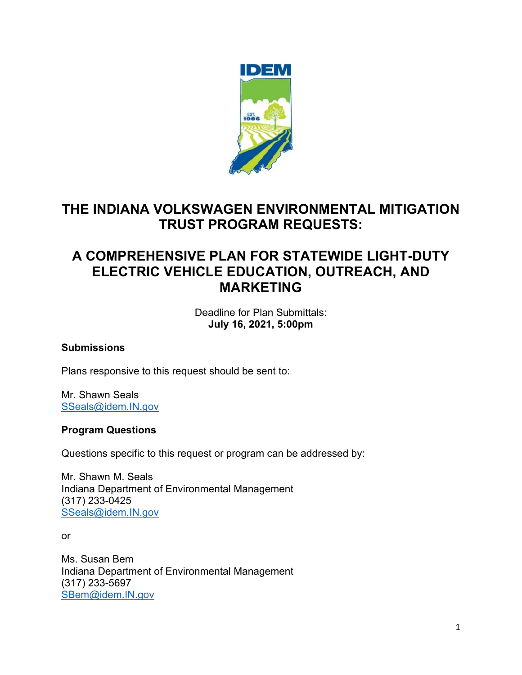

# **THE INDIANA VOLKSWAGEN ENVIRONMENTAL MITIGATION TRUST PROGRAM REQUESTS:**

# **A COMPREHENSIVE PLAN FOR STATEWIDE LIGHT-DUTY ELECTRIC VEHICLE EDUCATION, OUTREACH, AND MARKETING**

Deadline for Plan Submittals: **July 16, 2021, 5:00pm**

#### **Submissions**

Plans responsive to this request should be sent to:

Mr. Shawn Seals [SSeals@idem.IN.gov](mailto:sseals@idem.IN.gov)

#### **Program Questions**

Questions specific to this request or program can be addressed by:

Mr. Shawn M. Seals Indiana Department of Environmental Management (317) 233-0425 [SSeals@idem.IN.gov](mailto:SSeals@idem.IN.gov)

or

Ms. Susan Bem Indiana Department of Environmental Management (317) 233-5697 [SBem@idem.IN.gov](mailto:sbem@idem.IN.gov)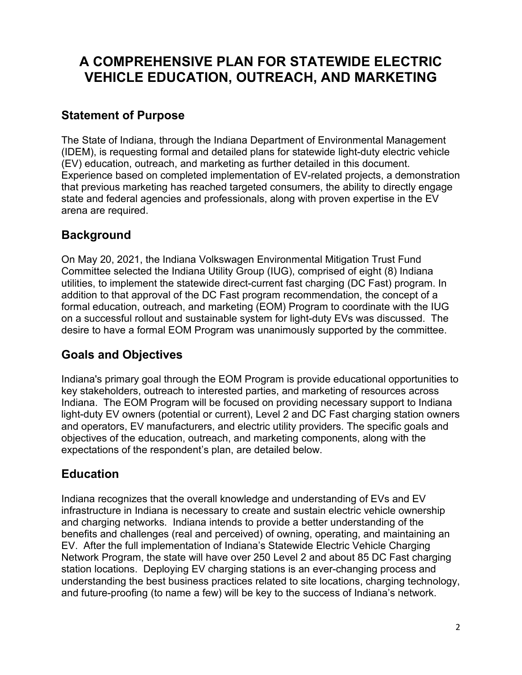## **A COMPREHENSIVE PLAN FOR STATEWIDE ELECTRIC VEHICLE EDUCATION, OUTREACH, AND MARKETING**

#### **Statement of Purpose**

The State of Indiana, through the Indiana Department of Environmental Management (IDEM), is requesting formal and detailed plans for statewide light-duty electric vehicle (EV) education, outreach, and marketing as further detailed in this document. Experience based on completed implementation of EV-related projects, a demonstration that previous marketing has reached targeted consumers, the ability to directly engage state and federal agencies and professionals, along with proven expertise in the EV arena are required.

### **Background**

On May 20, 2021, the Indiana Volkswagen Environmental Mitigation Trust Fund Committee selected the Indiana Utility Group (IUG), comprised of eight (8) Indiana utilities, to implement the statewide direct-current fast charging (DC Fast) program. In addition to that approval of the DC Fast program recommendation, the concept of a formal education, outreach, and marketing (EOM) Program to coordinate with the IUG on a successful rollout and sustainable system for light-duty EVs was discussed. The desire to have a formal EOM Program was unanimously supported by the committee.

### **Goals and Objectives**

Indiana's primary goal through the EOM Program is provide educational opportunities to key stakeholders, outreach to interested parties, and marketing of resources across Indiana. The EOM Program will be focused on providing necessary support to Indiana light-duty EV owners (potential or current), Level 2 and DC Fast charging station owners and operators, EV manufacturers, and electric utility providers. The specific goals and objectives of the education, outreach, and marketing components, along with the expectations of the respondent's plan, are detailed below.

### **Education**

Indiana recognizes that the overall knowledge and understanding of EVs and EV infrastructure in Indiana is necessary to create and sustain electric vehicle ownership and charging networks. Indiana intends to provide a better understanding of the benefits and challenges (real and perceived) of owning, operating, and maintaining an EV. After the full implementation of Indiana's Statewide Electric Vehicle Charging Network Program, the state will have over 250 Level 2 and about 85 DC Fast charging station locations. Deploying EV charging stations is an ever-changing process and understanding the best business practices related to site locations, charging technology, and future-proofing (to name a few) will be key to the success of Indiana's network.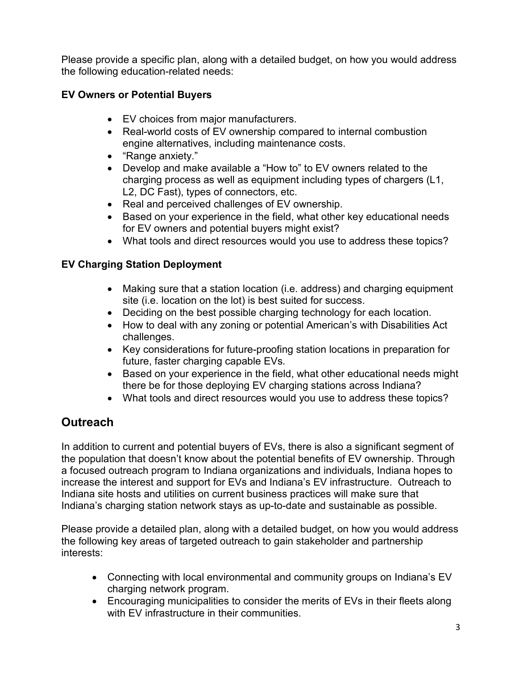Please provide a specific plan, along with a detailed budget, on how you would address the following education-related needs:

#### **EV Owners or Potential Buyers**

- EV choices from major manufacturers.
- Real-world costs of EV ownership compared to internal combustion engine alternatives, including maintenance costs.
- "Range anxiety."
- Develop and make available a "How to" to EV owners related to the charging process as well as equipment including types of chargers (L1, L2, DC Fast), types of connectors, etc.
- Real and perceived challenges of EV ownership.
- Based on your experience in the field, what other key educational needs for EV owners and potential buyers might exist?
- What tools and direct resources would you use to address these topics?

#### **EV Charging Station Deployment**

- Making sure that a station location (i.e. address) and charging equipment site (i.e. location on the lot) is best suited for success.
- Deciding on the best possible charging technology for each location.
- How to deal with any zoning or potential American's with Disabilities Act challenges.
- Key considerations for future-proofing station locations in preparation for future, faster charging capable EVs.
- Based on your experience in the field, what other educational needs might there be for those deploying EV charging stations across Indiana?
- What tools and direct resources would you use to address these topics?

## **Outreach**

In addition to current and potential buyers of EVs, there is also a significant segment of the population that doesn't know about the potential benefits of EV ownership. Through a focused outreach program to Indiana organizations and individuals, Indiana hopes to increase the interest and support for EVs and Indiana's EV infrastructure. Outreach to Indiana site hosts and utilities on current business practices will make sure that Indiana's charging station network stays as up-to-date and sustainable as possible.

Please provide a detailed plan, along with a detailed budget, on how you would address the following key areas of targeted outreach to gain stakeholder and partnership interests:

- Connecting with local environmental and community groups on Indiana's EV charging network program.
- Encouraging municipalities to consider the merits of EVs in their fleets along with FV infrastructure in their communities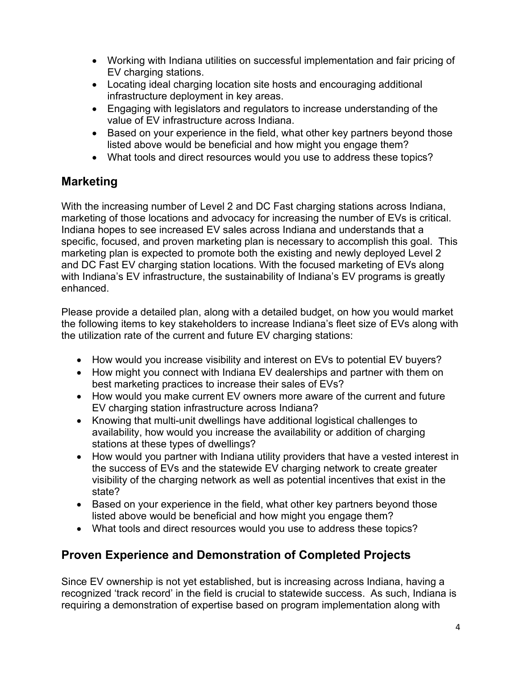- Working with Indiana utilities on successful implementation and fair pricing of EV charging stations.
- Locating ideal charging location site hosts and encouraging additional infrastructure deployment in key areas.
- Engaging with legislators and regulators to increase understanding of the value of EV infrastructure across Indiana.
- Based on your experience in the field, what other key partners beyond those listed above would be beneficial and how might you engage them?
- What tools and direct resources would you use to address these topics?

### **Marketing**

With the increasing number of Level 2 and DC Fast charging stations across Indiana, marketing of those locations and advocacy for increasing the number of EVs is critical. Indiana hopes to see increased EV sales across Indiana and understands that a specific, focused, and proven marketing plan is necessary to accomplish this goal. This marketing plan is expected to promote both the existing and newly deployed Level 2 and DC Fast EV charging station locations. With the focused marketing of EVs along with Indiana's EV infrastructure, the sustainability of Indiana's EV programs is greatly enhanced.

Please provide a detailed plan, along with a detailed budget, on how you would market the following items to key stakeholders to increase Indiana's fleet size of EVs along with the utilization rate of the current and future EV charging stations:

- How would you increase visibility and interest on EVs to potential EV buyers?
- How might you connect with Indiana EV dealerships and partner with them on best marketing practices to increase their sales of EVs?
- How would you make current EV owners more aware of the current and future EV charging station infrastructure across Indiana?
- Knowing that multi-unit dwellings have additional logistical challenges to availability, how would you increase the availability or addition of charging stations at these types of dwellings?
- How would you partner with Indiana utility providers that have a vested interest in the success of EVs and the statewide EV charging network to create greater visibility of the charging network as well as potential incentives that exist in the state?
- Based on your experience in the field, what other key partners beyond those listed above would be beneficial and how might you engage them?
- What tools and direct resources would you use to address these topics?

## **Proven Experience and Demonstration of Completed Projects**

Since EV ownership is not yet established, but is increasing across Indiana, having a recognized 'track record' in the field is crucial to statewide success. As such, Indiana is requiring a demonstration of expertise based on program implementation along with